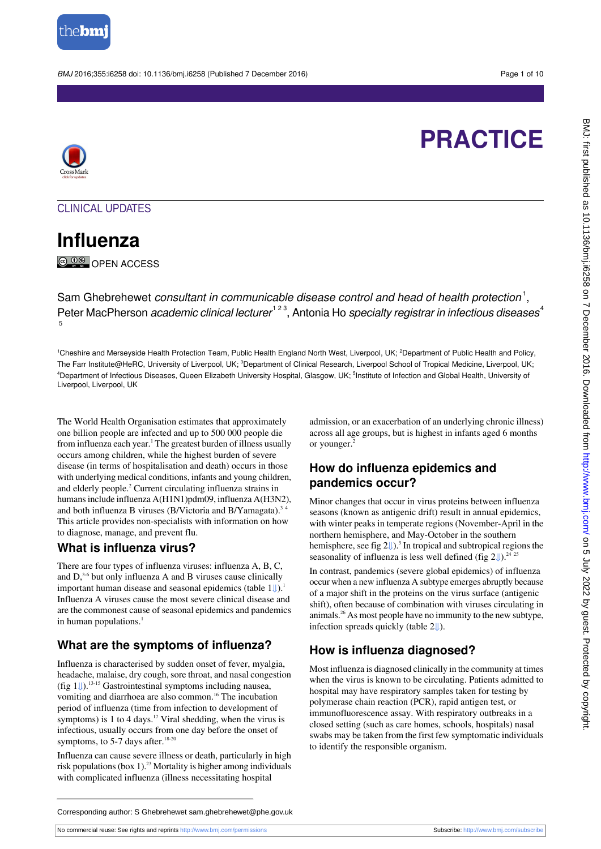

BMJ 2016:355:i6258 doi: 10.1136/bmj.i6258 (Published 7 December 2016) Page 1 of 10

# **PRACTICE**



CLINICAL UPDATES

**Influenza** © 0<sup>®</sup> OPEN ACCESS

Sam Ghebrehewet *consultant in communicable disease control and head of health protection*<sup>1</sup>, Peter MacPherson *academic clinical lecturer*<sup>123</sup>, Antonia Ho specialty registrar in infectious diseases<sup>4</sup> 5

<sup>1</sup>Cheshire and Merseyside Health Protection Team, Public Health England North West, Liverpool, UK; <sup>2</sup>Department of Public Health and Policy, The Farr Institute@HeRC, University of Liverpool, UK; <sup>3</sup>Department of Clinical Research, Liverpool School of Tropical Medicine, Liverpool, UK; <sup>4</sup>Department of Infectious Diseases, Queen Elizabeth University Hospital, Glasgow, UK; <sup>5</sup>Institute of Infection and Global Health, University of Liverpool, Liverpool, UK

The World Health Organisation estimates that approximately one billion people are infected and up to 500 000 people die from influenza each year.<sup>1</sup> The greatest burden of illness usually occurs among children, while the highest burden of severe disease (in terms of hospitalisation and death) occurs in those with underlying medical conditions, infants and young children, and elderly people.<sup>2</sup> Current circulating influenza strains in humans include influenza A(H1N1)pdm09, influenza A(H3N2), and both influenza B viruses (B/Victoria and B/Yamagata).<sup>3</sup> This article provides non-specialists with information on how to diagnose, manage, and prevent flu.

## **What is influenza virus?**

There are four types of influenza viruses: influenza A, B, C, and  $D<sub>1</sub><sup>3-6</sup>$  but only influenza A and B viruses cause clinically importanthuman disease and seasonal epidemics (table  $1 \downarrow$ ).<sup>1</sup> Influenza A viruses cause the most severe clinical disease and are the commonest cause of seasonal epidemics and pandemics in human populations. $<sup>1</sup>$ </sup>

# **What are the symptoms of influenza?**

Influenza is characterised by sudden onset of fever, myalgia, headache, malaise, dry cough, sore throat, and nasal congestion (fig  $1 \downarrow$ ).<sup>13-15</sup> Gastrointestinal symptoms including nausea, vomiting and diarrhoea are also common.<sup>16</sup> The incubation period of influenza (time from infection to development of symptoms) is  $1$  to  $4$  days.<sup>17</sup> Viral shedding, when the virus is infectious, usually occurs from one day before the onset of symptoms, to 5-7 days after.<sup>18-20</sup>

Influenza can cause severe illness or death, particularly in high risk populations (box  $1$ ).<sup>23</sup> Mortality is higher among individuals with complicated influenza (illness necessitating hospital

admission, or an exacerbation of an underlying chronic illness) across all age groups, but is highest in infants aged 6 months or younger.<sup>2</sup>

## **How do influenza epidemics and pandemics occur?**

Minor changes that occur in virus proteins between influenza seasons (known as antigenic drift) result in annual epidemics, with winter peaks in temperate regions (November-April in the northern hemisphere, and May-October in the southern hemisphere, see fig  $2\ell$ .<sup>3</sup> In tropical and subtropical regions the seasonality of influenza is less well defined (fig  $2\sqrt{\frac{1}{2}}$ ).<sup>24 25</sup>

In contrast, pandemics (severe global epidemics) of influenza occur when a new influenza A subtype emerges abruptly because of a major shift in the proteins on the virus surface (antigenic shift), often because of combination with viruses circulating in animals.<sup>26</sup> As most people have no immunity to the new subtype, infection spreads quickly (table2[⇓\)](#page-6-0).

# **How is influenza diagnosed?**

Most influenza is diagnosed clinically in the community at times when the virus is known to be circulating. Patients admitted to hospital may have respiratory samples taken for testing by polymerase chain reaction (PCR), rapid antigen test, or immunofluorescence assay. With respiratory outbreaks in a closed setting (such as care homes, schools, hospitals) nasal swabs may be taken from the first few symptomatic individuals to identify the responsible organism.

Corresponding author: S Ghebrehewet sam.ghebrehewet@phe.gov.uk

No commercial reuse: See rights and reprints <http://www.bmj.com/permissions> Subscribe: <http://www.bmj.com/subscribe>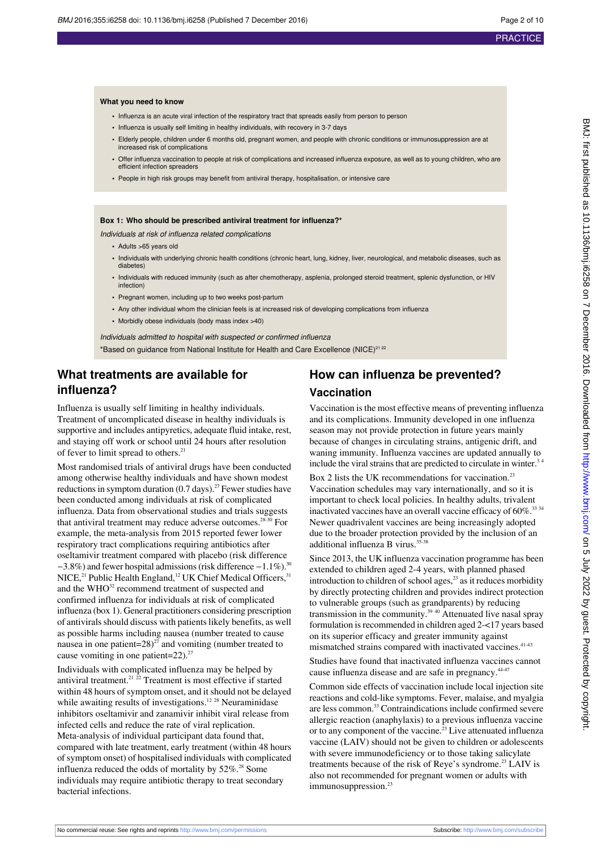### **What you need to know**

- **•** Influenza is an acute viral infection of the respiratory tract that spreads easily from person to person
- **•** Influenza is usually self limiting in healthy individuals, with recovery in 3-7 days
- **•** Elderly people, children under 6 months old, pregnant women, and people with chronic conditions or immunosuppression are at increased risk of complications
- **•** Offer influenza vaccination to people at risk of complications and increased influenza exposure, as well as to young children, who are efficient infection spreaders
- **•** People in high risk groups may benefit from antiviral therapy, hospitalisation, or intensive care

#### **Box 1: Who should be prescribed antiviral treatment for influenza?\***

Individuals at risk of influenza related complications

- **•** Adults >65 years old
- **•** Individuals with underlying chronic health conditions (chronic heart, lung, kidney, liver, neurological, and metabolic diseases, such as diabetes)
- **•** Individuals with reduced immunity (such as after chemotherapy, asplenia, prolonged steroid treatment, splenic dysfunction, or HIV infection)
- **•** Pregnant women, including up to two weeks post-partum
- **•** Any other individual whom the clinician feels is at increased risk of developing complications from influenza
- **•** Morbidly obese individuals (body mass index >40)

Individuals admitted to hospital with suspected or confirmed influenza \*Based on guidance from National Institute for Health and Care Excellence (NICE)<sup>21 22</sup>

## **What treatments are available for influenza?**

Influenza is usually self limiting in healthy individuals. Treatment of uncomplicated disease in healthy individuals is supportive and includes antipyretics, adequate fluid intake, rest, and staying off work or school until 24 hours after resolution of fever to limit spread to others.<sup>21</sup>

Most randomised trials of antiviral drugs have been conducted among otherwise healthy individuals and have shown modest reductions in symptom duration  $(0.7 \text{ days})$ .<sup>27</sup> Fewer studies have been conducted among individuals at risk of complicated influenza. Data from observational studies and trials suggests that antiviral treatment may reduce adverse outcomes.<sup>28-30</sup> For example, the meta-analysis from 2015 reported fewer lower respiratory tract complications requiring antibiotics after oseltamivir treatment compared with placebo (risk difference −3.8%) and fewer hospital admissions (risk difference −1.1%).<sup>30</sup> NICE,<sup>21</sup> Public Health England,<sup>12</sup> UK Chief Medical Officers,<sup>31</sup> and the WHO<sup>32</sup> recommend treatment of suspected and confirmed influenza for individuals at risk of complicated influenza (box 1). General practitioners considering prescription of antivirals should discuss with patients likely benefits, as well as possible harms including nausea (number treated to cause nausea in one patient= $28)^{27}$  and vomiting (number treated to cause vomiting in one patient= $22$ ).<sup>27</sup>

Individuals with complicated influenza may be helped by antiviral treatment.<sup>21</sup>  $^{22}$  Treatment is most effective if started within 48 hours of symptom onset, and it should not be delayed while awaiting results of investigations.<sup>12 28</sup> Neuraminidase inhibitors oseltamivir and zanamivir inhibit viral release from infected cells and reduce the rate of viral replication. Meta-analysis of individual participant data found that, compared with late treatment, early treatment (within 48 hours of symptom onset) of hospitalised individuals with complicated influenza reduced the odds of mortality by  $52\%$ .<sup>28</sup> Some individuals may require antibiotic therapy to treat secondary bacterial infections.

# **How can influenza be prevented? Vaccination**

Vaccination is the most effective means of preventing influenza and its complications. Immunity developed in one influenza season may not provide protection in future years mainly because of changes in circulating strains, antigenic drift, and waning immunity. Influenza vaccines are updated annually to include the viral strains that are predicted to circulate in winter.<sup>3</sup>

Box 2 lists the UK recommendations for vaccination.<sup>23</sup> Vaccination schedules may vary internationally, and so it is important to check local policies. In healthy adults, trivalent inactivated vaccines have an overall vaccine efficacy of 60%.<sup>33 34</sup> Newer quadrivalent vaccines are being increasingly adopted due to the broader protection provided by the inclusion of an additional influenza B virus.<sup>35,38</sup>

Since 2013, the UK influenza vaccination programme has been extended to children aged 2-4 years, with planned phased introduction to children of school ages,<sup>23</sup> as it reduces morbidity by directly protecting children and provides indirect protection to vulnerable groups (such as grandparents) by reducing transmission in the community.39 40 Attenuated live nasal spray formulation is recommended in children aged 2-<17 years based on its superior efficacy and greater immunity against mismatched strains compared with inactivated vaccines.<sup>41-43</sup>

Studies have found that inactivated influenza vaccines cannot cause influenza disease and are safe in pregnancy.<sup>44-47</sup>

Common side effects of vaccination include local injection site reactions and cold-like symptoms. Fever, malaise, and myalgia are less common.<sup>33</sup> Contraindications include confirmed severe allergic reaction (anaphylaxis) to a previous influenza vaccine or to any component of the vaccine.<sup>23</sup> Live attenuated influenza vaccine (LAIV) should not be given to children or adolescents with severe immunodeficiency or to those taking salicylate treatments because of the risk of Reye's syndrome.<sup>23</sup> LAIV is also not recommended for pregnant women or adults with immunosuppression.<sup>23</sup>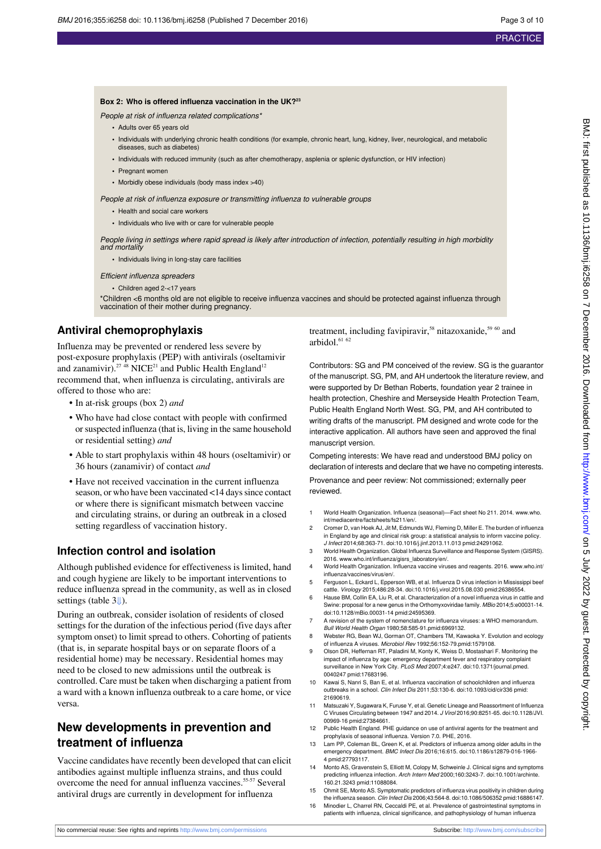#### **Box 2: Who is offered influenza vaccination in the UK?<sup>23</sup>**

People at risk of influenza related complications\*

- **•** Adults over 65 years old
- **•** Individuals with underlying chronic health conditions (for example, chronic heart, lung, kidney, liver, neurological, and metabolic diseases, such as diabetes)
- **•** Individuals with reduced immunity (such as after chemotherapy, asplenia or splenic dysfunction, or HIV infection)
- **•** Pregnant women
- **•** Morbidly obese individuals (body mass index >40)

People at risk of influenza exposure or transmitting influenza to vulnerable groups

- **•** Health and social care workers
- **•** Individuals who live with or care for vulnerable people

People living in settings where rapid spread is likely after introduction of infection, potentially resulting in high morbidity and mortality

**•** Individuals living in long-stay care facilities

#### Efficient influenza spreaders

**•** Children aged 2-<17 years

\*Children <6 months old are not eligible to receive influenza vaccines and should be protected against influenza through vaccination of their mother during pregnancy.

## **Antiviral chemoprophylaxis**

Influenza may be prevented or rendered less severe by post-exposure prophylaxis (PEP) with antivirals (oseltamivir and zanamivir).<sup>27</sup> <sup>48</sup> NICE<sup>21</sup> and Public Health England<sup>12</sup> recommend that, when influenza is circulating, antivirals are offered to those who are:

- **•** In at-risk groups (box 2) *and*
- **•** Who have had close contact with people with confirmed or suspected influenza (that is, living in the same household or residential setting) *and*
- **•** Able to start prophylaxis within 48 hours (oseltamivir) or 36 hours (zanamivir) of contact *and*
- **•** Have not received vaccination in the current influenza season, or who have been vaccinated <14 days since contact or where there is significant mismatch between vaccine and circulating strains, or during an outbreak in a closed setting regardless of vaccination history.

## **Infection control and isolation**

Although published evidence for effectiveness is limited, hand and cough hygiene are likely to be important interventions to reduce influenza spread in the community, as well as in closed settings (table3[⇓\)](#page-7-0).

During an outbreak, consider isolation of residents of closed settings for the duration of the infectious period (five days after symptom onset) to limit spread to others. Cohorting of patients (that is, in separate hospital bays or on separate floors of a residential home) may be necessary. Residential homes may need to be closed to new admissions until the outbreak is controlled. Care must be taken when discharging a patient from a ward with a known influenza outbreak to a care home, or vice versa.

## **New developments in prevention and treatment of influenza**

Vaccine candidates have recently been developed that can elicit antibodies against multiple influenza strains, and thus could overcome the need for annual influenza vaccines.<sup>55-57</sup> Several antiviral drugs are currently in development for influenza

treatment, including favipiravir,<sup>58</sup> nitazoxanide,<sup>59 60</sup> and arbidol. $6162$ 

Contributors: SG and PM conceived of the review. SG is the guarantor of the manuscript. SG, PM, and AH undertook the literature review, and were supported by Dr Bethan Roberts, foundation year 2 trainee in health protection, Cheshire and Merseyside Health Protection Team, Public Health England North West. SG, PM, and AH contributed to writing drafts of the manuscript. PM designed and wrote code for the interactive application. All authors have seen and approved the final manuscript version.

Competing interests: We have read and understood BMJ policy on declaration of interests and declare that we have no competing interests.

Provenance and peer review: Not commissioned; externally peer reviewed.

- 1 World Health Organization. Influenza (seasonal)—Fact sheet No 211. 2014. [www.who.](http://www.who.int/mediacentre/factsheets/fs211/en/) [int/mediacentre/factsheets/fs211/en/](http://www.who.int/mediacentre/factsheets/fs211/en/).
- 2 Cromer D, van Hoek AJ, Jit M, Edmunds WJ, Fleming D, Miller E. The burden of influenza in England by age and clinical risk group: a statistical analysis to inform vaccine policy. J Infect 2014;68:363-71. [doi:10.1016/j.jinf.2013.11.013](http://dx.doi.org/10.1016/j.jinf.2013.11.013) [pmid:24291062](http://www.ncbi.nlm.nih.gov/pubmed/?term=24291062).
- 3 World Health Organization. Global Influenza Surveillance and Response System (GISRS). 2016. [www.who.int/influenza/gisrs\\_laboratory/en/](http://www.who.int/influenza/gisrs_laboratory/en/).
- 4 World Health Organization. Influenza vaccine viruses and reagents. 2016. [www.who.int/](http://www.who.int/influenza/vaccines/virus/en/) [influenza/vaccines/virus/en/.](http://www.who.int/influenza/vaccines/virus/en/)
- 5 Ferguson L, Eckard L, Epperson WB, et al. Influenza D virus infection in Mississippi beef cattle. Virology 2015;486:28-34. [doi:10.1016/j.virol.2015.08.030](http://dx.doi.org/10.1016/j.virol.2015.08.030) [pmid:26386554](http://www.ncbi.nlm.nih.gov/pubmed/?term=26386554).
- Hause BM, Collin EA, Liu R, et al. Characterization of a novel influenza virus in cattle and Swine: proposal for a new genus in the Orthomyxoviridae family. MBio 2014;5:e00031-14. [doi:10.1128/mBio.00031-14](http://dx.doi.org/10.1128/mBio.00031-14) [pmid:24595369](http://www.ncbi.nlm.nih.gov/pubmed/?term=24595369).
- 7 A revision of the system of nomenclature for influenza viruses: a WHO memorandum. Bull World Health Organ 1980;58:585-91.[pmid:6969132.](http://www.ncbi.nlm.nih.gov/pubmed/?term=6969132)
- 8 Webster RG, Bean WJ, Gorman OT, Chambers TM, Kawaoka Y. Evolution and ecology of influenza A viruses. Microbiol Rev 1992;56:152-79.[pmid:1579108.](http://www.ncbi.nlm.nih.gov/pubmed/?term=1579108)
- 9 Olson DR, Heffernan RT, Paladini M, Konty K, Weiss D, Mostashari F. Monitoring the impact of influenza by age: emergency department fever and respiratory complaint surveillance in New York City. PLoS Med 2007;4:e247. [doi:10.1371/journal.pmed.](http://dx.doi.org/10.1371/journal.pmed.0040247) [0040247](http://dx.doi.org/10.1371/journal.pmed.0040247) [pmid:17683196](http://www.ncbi.nlm.nih.gov/pubmed/?term=17683196).
- 10 Kawai S, Nanri S, Ban E, et al. Influenza vaccination of schoolchildren and influenza outbreaks in a school. Clin Infect Dis 2011;53:130-6. [doi:10.1093/cid/cir336](http://dx.doi.org/10.1093/cid/cir336) [pmid:](http://www.ncbi.nlm.nih.gov/pubmed/?term=21690619) [21690619.](http://www.ncbi.nlm.nih.gov/pubmed/?term=21690619)
- 11 Matsuzaki Y, Sugawara K, Furuse Y, et al. Genetic Lineage and Reassortment of Influenza C Viruses Circulating between 1947 and 2014. J Virol 2016;90:8251-65. [doi:10.1128/JVI.](http://dx.doi.org/10.1128/JVI.00969-16) [00969-16](http://dx.doi.org/10.1128/JVI.00969-16) [pmid:27384661.](http://www.ncbi.nlm.nih.gov/pubmed/?term=27384661)
- 12 Public Health England. PHE guidance on use of antiviral agents for the treatment and prophylaxis of seasonal influenza. Version 7.0. PHE, 2016.
- 13 Lam PP, Coleman BL, Green K, et al. Predictors of influenza among older adults in the emergency department. BMC Infect Dis 2016;16:615. [doi:10.1186/s12879-016-1966-](http://dx.doi.org/10.1186/s12879-016-1966-4) [4](http://dx.doi.org/10.1186/s12879-016-1966-4) [pmid:27793117](http://www.ncbi.nlm.nih.gov/pubmed/?term=27793117).
- 14 Monto AS, Gravenstein S, Elliott M, Colopy M, Schweinle J. Clinical signs and symptoms predicting influenza infection. Arch Intern Med 2000;160:3243-7. [doi:10.1001/archinte.](http://dx.doi.org/10.1001/archinte.160.21.3243) [160.21.3243](http://dx.doi.org/10.1001/archinte.160.21.3243) [pmid:11088084](http://www.ncbi.nlm.nih.gov/pubmed/?term=11088084).
- 15 Ohmit SE, Monto AS. Symptomatic predictors of influenza virus positivity in children during the influenza season. Clin Infect Dis 2006;43:564-8. [doi:10.1086/506352](http://dx.doi.org/10.1086/506352) [pmid:16886147](http://www.ncbi.nlm.nih.gov/pubmed/?term=16886147).
- 16 Minodier L, Charrel RN, Ceccaldi PE, et al. Prevalence of gastrointestinal symptoms in patients with influenza, clinical significance, and pathophysiology of human influenza

BMJ: first published as 10.1136/bmj.i6258 on 7 December 2016. Downloaded from http://www.bmj.com/ on 5 July 2022 by guest. Protected by copyright BMJ: first published as 10.1136/bmj.i6258 on 7 December 2016. Downloaded from <http://www.bmj.com/> on 5 July 2022 by guest. Protected by copyright.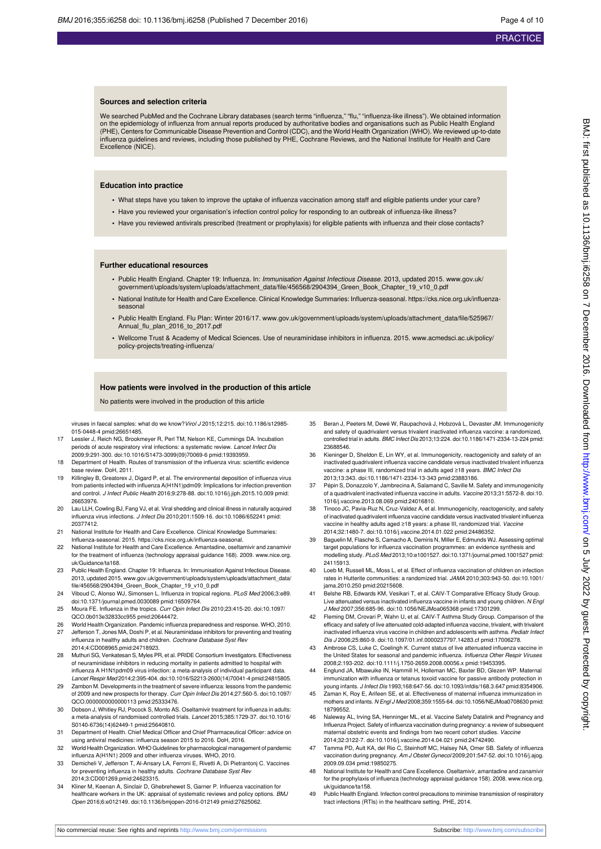#### **Sources and selection criteria**

We searched PubMed and the Cochrane Library databases (search terms "influenza," "flu," "influenza-like illness"). We obtained information on the epidemiology of influenza from annual reports produced by authoritative bodies and organisations such as Public Health England (PHE), Centers for Communicable Disease Prevention and Control (CDC), and the World Health Organization (WHO). We reviewed up-to-date influenza guidelines and reviews, including those published by PHE, Cochrane Reviews, and the National Institute for Health and Care Excellence (NICE).

#### **Education into practice**

- **•** What steps have you taken to improve the uptake of influenza vaccination among staff and eligible patients under your care?
- **•** Have you reviewed your organisation's infection control policy for responding to an outbreak of influenza-like illness?
- **•** Have you reviewed antivirals prescribed (treatment or prophylaxis) for eligible patients with influenza and their close contacts?

#### **Further educational resources**

- **•** Public Health England. Chapter 19: Influenza. In: Immunisation Against Infectious Disease. 2013, updated 2015. [www.gov.uk/](http://www.gov.uk/government/uploads/system/uploads/attachment_data/file/456568/2904394_Green_Book_Chapter_19_v10_0.pdf) [government/uploads/system/uploads/attachment\\_data/file/456568/2904394\\_Green\\_Book\\_Chapter\\_19\\_v10\\_0.pdf](http://www.gov.uk/government/uploads/system/uploads/attachment_data/file/456568/2904394_Green_Book_Chapter_19_v10_0.pdf)
- National Institute for Health and Care Excellence. Clinical Knowledge Summaries: Influenza-seasonal. https://cks.nice.org.uk/influenzaseasonal
- **•** Public Health England. Flu Plan: Winter 2016/17. [www.gov.uk/government/uploads/system/uploads/attachment\\_data/file/525967/](http://www.gov.uk/government/uploads/system/uploads/attachment_data/file/525967/Annual_flu_plan_2016_to_2017.pdf) [Annual\\_flu\\_plan\\_2016\\_to\\_2017.pdf](http://www.gov.uk/government/uploads/system/uploads/attachment_data/file/525967/Annual_flu_plan_2016_to_2017.pdf)
- **•** Wellcome Trust & Academy of Medical Sciences. Use of neuraminidase inhibitors in influenza. 2015. [www.acmedsci.ac.uk/policy/](http://www.acmedsci.ac.uk/policy/policy-projects/treating-influenza/) [policy-projects/treating-influenza/](http://www.acmedsci.ac.uk/policy/policy-projects/treating-influenza/)

#### **How patients were involved in the production of this article**

No patients were involved in the production of this article

viruses in faecal samples: what do we know?Virol J 2015;12:215. [doi:10.1186/s12985-](http://dx.doi.org/10.1186/s12985-015-0448-4) [015-0448-4](http://dx.doi.org/10.1186/s12985-015-0448-4) [pmid:26651485.](http://www.ncbi.nlm.nih.gov/pubmed/?term=26651485)

- 17 Lessler J, Reich NG, Brookmeyer R, Perl TM, Nelson KE, Cummings DA. Incubation periods of acute respiratory viral infections: a systematic review. Lancet Infect Dis 2009;9:291-300. [doi:10.1016/S1473-3099\(09\)70069-6](http://dx.doi.org/10.1016/S1473-3099(09)70069-6) [pmid:19393959.](http://www.ncbi.nlm.nih.gov/pubmed/?term=19393959)
- 18 Department of Health. Routes of transmission of the influenza virus: scientific evidence base review. DoH, 2011.
- 19 Killingley B, Greatorex J, Digard P, et al. The environmental deposition of influenza virus from patients infected with influenza A(H1N1)pdm09: Implications for infection prevention and control. J Infect Public Health 2016;9:278-88. [doi:10.1016/j.jiph.2015.10.009](http://dx.doi.org/10.1016/j.jiph.2015.10.009) [pmid:](http://www.ncbi.nlm.nih.gov/pubmed/?term=26653976) [26653976.](http://www.ncbi.nlm.nih.gov/pubmed/?term=26653976)
- 20 Lau LLH, Cowling BJ, Fang VJ, et al. Viral shedding and clinical illness in naturally acquired influenza virus infections. J Infect Dis 2010;201:1509-16. [doi:10.1086/652241](http://dx.doi.org/10.1086/652241) [pmid:](http://www.ncbi.nlm.nih.gov/pubmed/?term=20377412) [20377412.](http://www.ncbi.nlm.nih.gov/pubmed/?term=20377412)
- 21 National Institute for Health and Care Excellence. Clinical Knowledge Summar Influenza-seasonal. 2015. https://cks.nice.org.uk/influenza-seasonal.
- 22 National Institute for Health and Care Excellence. Amantadine, oseltamivir and zanamivir for the treatment of influenza (technology appraisal guidance 168). 2009. [www.nice.org.](http://www.nice.org.uk/Guidance/ta168) [uk/Guidance/ta168](http://www.nice.org.uk/Guidance/ta168).
- 23 Public Health England. Chapter 19: Influenza. In: Immunisation Against Infectious Disease. 2013, updated 2015. [www.gov.uk/government/uploads/system/uploads/attachment\\_data/](http://www.gov.uk/government/uploads/system/uploads/attachment_data/file/456568/2904394_Green_Book_Chapter_19_v10_0.pdf) [file/456568/2904394\\_Green\\_Book\\_Chapter\\_19\\_v10\\_0.pdf](http://www.gov.uk/government/uploads/system/uploads/attachment_data/file/456568/2904394_Green_Book_Chapter_19_v10_0.pdf)
- 24 Viboud C, Alonso WJ, Simonsen L. Influenza in tropical regions. PLoS Med 2006;3:e89. [doi:10.1371/journal.pmed.0030089](http://dx.doi.org/10.1371/journal.pmed.0030089) [pmid:16509764](http://www.ncbi.nlm.nih.gov/pubmed/?term=16509764).
- 25 Moura FE. Influenza in the tropics. Curr Opin Infect Dis 2010;23:415-20. [doi:10.1097/](http://dx.doi.org/10.1097/QCO.0b013e32833cc955) [QCO.0b013e32833cc955](http://dx.doi.org/10.1097/QCO.0b013e32833cc955) [pmid:20644472.](http://www.ncbi.nlm.nih.gov/pubmed/?term=20644472)
- 26 World Health Organization. Pandemic influenza preparedness and response. WHO, 2010. Jefferson T, Jones MA, Doshi P, et al. Neuraminidase inhibitors for preventing and treating influenza in healthy adults and children. Cochrane Database Syst Rev 2014;4:CD008965[.pmid:24718923.](http://www.ncbi.nlm.nih.gov/pubmed/?term=24718923)
- 28 Muthuri SG, Venkatesan S, Myles PR, et al. PRIDE Consortium Investigators. Effectiveness of neuraminidase inhibitors in reducing mortality in patients admitted to hospital with influenza A H1N1pdm09 virus infection: a meta-analysis of individual participant data. Lancet Respir Med 2014;2:395-404. [doi:10.1016/S2213-2600\(14\)70041-4](http://dx.doi.org/10.1016/S2213-2600(14)70041-4) [pmid:24815805](http://www.ncbi.nlm.nih.gov/pubmed/?term=24815805).
- 29 Zambon M. Developments in the treatment of severe influenza: lessons from the pandemic of 2009 and new prospects for therapy. Curr Opin Infect Dis 2014;27:560-5. [doi:10.1097/](http://dx.doi.org/10.1097/QCO.0000000000000113) [QCO.0000000000000113](http://dx.doi.org/10.1097/QCO.0000000000000113) [pmid:25333476.](http://www.ncbi.nlm.nih.gov/pubmed/?term=25333476)
- 30 Dobson J, Whitley RJ, Pocock S, Monto AS. Oseltamivir treatment for influenza in adults: a meta-analysis of randomised controlled trials. Lancet 2015;385:1729-37. [doi:10.1016/](http://dx.doi.org/10.1016/S0140-6736(14)62449-1) [S0140-6736\(14\)62449-1](http://dx.doi.org/10.1016/S0140-6736(14)62449-1) [pmid:25640810](http://www.ncbi.nlm.nih.gov/pubmed/?term=25640810).
- 31 Department of Health. Chief Medical Officer and Chief Pharmaceutical Officer: advice on using antiviral medicines: influenza season 2015 to 2016. DoH, 2016.
- 32 World Health Organization. WHO Guidelines for pharmacological management of pandemic influenza A(H1N1) 2009 and other influenza viruses. WHO, 2010.
- 33 Demicheli V, Jefferson T, Al-Ansary LA, Ferroni E, Rivetti A, Di Pietrantonj C. Vaccines for preventing influenza in healthy adults. Cochrane Database Syst Rev 2014;3:CD001269[.pmid:24623315.](http://www.ncbi.nlm.nih.gov/pubmed/?term=24623315)
- 34 Kliner M, Keenan A, Sinclair D, Ghebrehewet S, Garner P. Influenza vaccination for healthcare workers in the UK: appraisal of systematic reviews and policy options. BMJ Open 2016;6:e012149. [doi:10.1136/bmjopen-2016-012149](http://dx.doi.org/10.1136/bmjopen-2016-012149) [pmid:27625062.](http://www.ncbi.nlm.nih.gov/pubmed/?term=27625062)
- Beran J, Peeters M, Dewé W, Raupachová J, Hobzová L, Devaster JM. Immunogenicity and safety of quadrivalent versus trivalent inactivated influenza vaccine: a randomized, controlled trial in adults. BMC Infect Dis 2013;13:224. [doi:10.1186/1471-2334-13-224](http://dx.doi.org/10.1186/1471-2334-13-224) [pmid:](http://www.ncbi.nlm.nih.gov/pubmed/?term=23688546) [23688546.](http://www.ncbi.nlm.nih.gov/pubmed/?term=23688546)
- 36 Kieninger D, Sheldon E, Lin WY, et al. Immunogenicity, reactogenicity and safety of an inactivated quadrivalent influenza vaccine candidate versus inactivated trivalent influenza vaccine: a phase III, randomized trial in adults aged ≥18 years. BMC Infect Dis 2013;13:343. [doi:10.1186/1471-2334-13-343](http://dx.doi.org/10.1186/1471-2334-13-343) [pmid:23883186.](http://www.ncbi.nlm.nih.gov/pubmed/?term=23883186)
- 37 Pépin S, Donazzolo Y, Jambrecina A, Salamand C, Saville M. Safety and immunogenicity of a quadrivalent inactivated influenza vaccine in adults. Vaccine 2013;31:5572-8. [doi:10.](http://dx.doi.org/10.1016/j.vaccine.2013.08.069) [1016/j.vaccine.2013.08.069](http://dx.doi.org/10.1016/j.vaccine.2013.08.069) [pmid:24016810.](http://www.ncbi.nlm.nih.gov/pubmed/?term=24016810)
- 38 Tinoco JC, Pavia-Ruz N, Cruz-Valdez A, et al. Immunogenicity, reactogenicity, and safety of inactivated quadrivalent influenza vaccine candidate versus inactivated trivalent influenza vaccine in healthy adults aged ≥18 years: a phase III, randomized trial. Vaccine 2014;32:1480-7. [doi:10.1016/j.vaccine.2014.01.022](http://dx.doi.org/10.1016/j.vaccine.2014.01.022) [pmid:24486352](http://www.ncbi.nlm.nih.gov/pubmed/?term=24486352).
- 39 Baguelin M, Flasche S, Camacho A, Demiris N, Miller E, Edmunds WJ. Assessing optimal target populations for influenza vaccination programmes: an evidence synthesis and modelling study. PLoS Med 2013;10:e1001527. [doi:10.1371/journal.pmed.1001527](http://dx.doi.org/10.1371/journal.pmed.1001527) [pmid:](http://www.ncbi.nlm.nih.gov/pubmed/?term=24115913) [24115913.](http://www.ncbi.nlm.nih.gov/pubmed/?term=24115913)
- 40 Loeb M, Russell ML, Moss L, et al. Effect of influenza vaccination of children on infection rates in Hutterite communities: a randomized trial. JAMA 2010;303:943-50. [doi:10.1001/](http://dx.doi.org/10.1001/jama.2010.250) [jama.2010.250](http://dx.doi.org/10.1001/jama.2010.250) [pmid:20215608](http://www.ncbi.nlm.nih.gov/pubmed/?term=20215608).
- 41 Belshe RB, Edwards KM, Vesikari T, et al. CAIV-T Comparative Efficacy Study Group. Live attenuated versus inactivated influenza vaccine in infants and young children. N Engl J Med 2007;356:685-96. [doi:10.1056/NEJMoa065368](http://dx.doi.org/10.1056/NEJMoa065368) [pmid:17301299.](http://www.ncbi.nlm.nih.gov/pubmed/?term=17301299)
- Fleming DM, Crovari P, Wahn U, et al. CAIV-T Asthma Study Group. Comparison of the efficacy and safety of live attenuated cold-adapted influenza vaccine, trivalent, with trivalent inactivated influenza virus vaccine in children and adolescents with asthma. Pediatr Infect Dis J 2006;25:860-9. [doi:10.1097/01.inf.0000237797.14283.cf](http://dx.doi.org/10.1097/01.inf.0000237797.14283.cf) [pmid:17006278](http://www.ncbi.nlm.nih.gov/pubmed/?term=17006278).
- 43 Ambrose CS, Luke C, Coelingh K. Current status of live attenuated influenza vaccine in the United States for seasonal and pandemic influenza. Influenza Other Respir Viruses 2008;2:193-202. [doi:10.1111/j.1750-2659.2008.00056.x](http://dx.doi.org/10.1111/j.1750-2659.2008.00056.x) [pmid:19453395.](http://www.ncbi.nlm.nih.gov/pubmed/?term=19453395)
- Englund JA, Mbawuike IN, Hammill H, Holleman MC, Baxter BD, Glezen WP. Maternal immunization with influenza or tetanus toxoid vaccine for passive antibody protection in young infants. J Infect Dis 1993;168:647-56. [doi:10.1093/infdis/168.3.647](http://dx.doi.org/10.1093/infdis/168.3.647) [pmid:8354906](http://www.ncbi.nlm.nih.gov/pubmed/?term=8354906).
- 45 Zaman K, Roy E, Arifeen SE, et al. Effectiveness of maternal influenza immunization in mothers and infants. N Engl J Med 2008;359:1555-64. [doi:10.1056/NEJMoa0708630](http://dx.doi.org/10.1056/NEJMoa0708630) [pmid:](http://www.ncbi.nlm.nih.gov/pubmed/?term=18799552) [18799552.](http://www.ncbi.nlm.nih.gov/pubmed/?term=18799552)
- 46 Naleway AL, Irving SA, Henninger ML, et al. Vaccine Safety Datalink and Pregnancy and Influenza Project. Safety of influenza vaccination during pregnancy: a review of subsequent maternal obstetric events and findings from two recent cohort studies. Vaccine 2014;32:3122-7. [doi:10.1016/j.vaccine.2014.04.021](http://dx.doi.org/10.1016/j.vaccine.2014.04.021) [pmid:24742490](http://www.ncbi.nlm.nih.gov/pubmed/?term=24742490).
- 47 Tamma PD, Ault KA, del Rio C, Steinhoff MC, Halsey NA, Omer SB. Safety of influenza vaccination during pregnancy. Am J Obstet Gynecol 2009;201:547-52. [doi:10.1016/j.ajog.](http://dx.doi.org/10.1016/j.ajog.2009.09.034) [2009.09.034](http://dx.doi.org/10.1016/j.ajog.2009.09.034) [pmid:19850275](http://www.ncbi.nlm.nih.gov/pubmed/?term=19850275).
- 48 National Institute for Health and Care Excellence. Oseltamivir, amantadine and zanamivir for the prophylaxis of influenza (technology appraisal guidance 158). 2008. [www.nice.org.](http://www.nice.org.uk/guidance/ta158) [uk/guidance/ta158.](http://www.nice.org.uk/guidance/ta158)
- 49 Public Health England. Infection control precautions to minimise transmission of respiratory tract infections (RTIs) in the healthcare setting. PHE, 2014.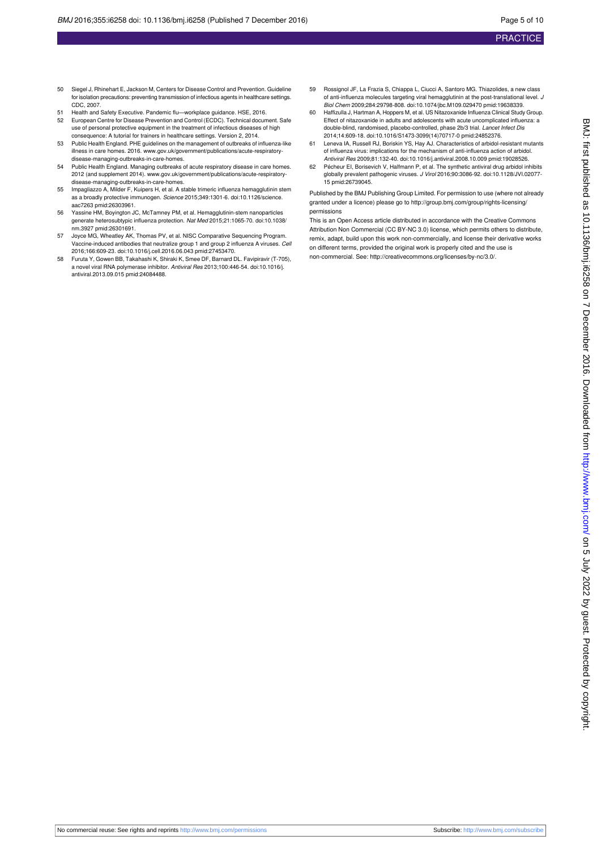- 50 Siegel J, Rhinehart E, Jackson M, Centers for Disease Control and Prevention. Guideline for isolation precautions: preventing transmission of infectious agents in healthcare settings. CDC, 2007.
- 51 Health and Safety Executive. Pandemic flu—workplace guidance. HSE, 2016.
- 52 European Centre for Disease Prevention and Control (ECDC). Technical document. Safe use of personal protective equipment in the treatment of infectious diseases of high consequence: A tutorial for trainers in healthcare settings. Version 2, 2014.
- 53 Public Health England. PHE guidelines on the management of outbreaks of influenza-like illness in care homes. 2016. [www.gov.uk/government/publications/acute-respiratory](http://www.gov.uk/government/publications/acute-respiratory-disease-managing-outbreaks-in-care-homes)[disease-managing-outbreaks-in-care-homes](http://www.gov.uk/government/publications/acute-respiratory-disease-managing-outbreaks-in-care-homes).
- 54 Public Health England. Managing outbreaks of acute respiratory disease in care homes. 2012 (and supplement 2014). [www.gov.uk/government/publications/acute-respiratory](http://www.gov.uk/government/publications/acute-respiratory-disease-managing-outbreaks-in-care-homes)[disease-managing-outbreaks-in-care-homes](http://www.gov.uk/government/publications/acute-respiratory-disease-managing-outbreaks-in-care-homes).
- 55 Impagliazzo A, Milder F, Kuipers H, et al. A stable trimeric influenza hemagglutinin stem as a broadly protective immunogen. Science 2015;349:1301-6. [doi:10.1126/science.](http://dx.doi.org/10.1126/science.aac7263) [aac7263](http://dx.doi.org/10.1126/science.aac7263) [pmid:26303961.](http://www.ncbi.nlm.nih.gov/pubmed/?term=26303961)
- 56 Yassine HM, Boyington JC, McTamney PM, et al. Hemagglutinin-stem nanoparticles generate heterosubtypic influenza protection. Nat Med 2015;21:1065-70. [doi:10.1038/](http://dx.doi.org/10.1038/nm.3927) [nm.3927](http://dx.doi.org/10.1038/nm.3927) [pmid:26301691](http://www.ncbi.nlm.nih.gov/pubmed/?term=26301691).
- 57 Joyce MG, Wheatley AK, Thomas PV, et al. NISC Comparative Sequencing Program. Vaccine-induced antibodies that neutralize group 1 and group 2 influenza A viruses. Cell 2016;166:609-23. [doi:10.1016/j.cell.2016.06.043](http://dx.doi.org/10.1016/j.cell.2016.06.043) [pmid:27453470.](http://www.ncbi.nlm.nih.gov/pubmed/?term=27453470)
- 58 Furuta Y, Gowen BB, Takahashi K, Shiraki K, Smee DF, Barnard DL. Favipiravir (T-705), a novel viral RNA polymerase inhibitor. Antiviral Res 2013;100:446-54. [doi:10.1016/j.](http://dx.doi.org/10.1016/j.antiviral.2013.09.015) [antiviral.2013.09.015](http://dx.doi.org/10.1016/j.antiviral.2013.09.015) [pmid:24084488](http://www.ncbi.nlm.nih.gov/pubmed/?term=24084488).
- 59 Rossignol JF, La Frazia S, Chiappa L, Ciucci A, Santoro MG. Thiazolides, a new class of anti-influenza molecules targeting viral hemagglutinin at the post-translational level. J Biol Chem 2009;284:29798-808. [doi:10.1074/jbc.M109.029470](http://dx.doi.org/10.1074/jbc.M109.029470) [pmid:19638339.](http://www.ncbi.nlm.nih.gov/pubmed/?term=19638339)
- 60 Haffizulla J, Hartman A, Hoppers M, et al. US Nitazoxanide Influenza Clinical Study Group. Effect of nitazoxanide in adults and adolescents with acute uncomplicated influenza: a double-blind, randomised, placebo-controlled, phase 2b/3 trial. Lancet Infect Dis 2014;14:609-18. [doi:10.1016/S1473-3099\(14\)70717-0](http://dx.doi.org/10.1016/S1473-3099(14)70717-0) [pmid:24852376.](http://www.ncbi.nlm.nih.gov/pubmed/?term=24852376)
- 61 Leneva IA, Russell RJ, Boriskin YS, Hay AJ. Characteristics of arbidol-resistant mutants of influenza virus: implications for the mechanism of anti-influenza action of arbidol. Antiviral Res 2009;81:132-40. [doi:10.1016/j.antiviral.2008.10.009](http://dx.doi.org/10.1016/j.antiviral.2008.10.009) [pmid:19028526.](http://www.ncbi.nlm.nih.gov/pubmed/?term=19028526)
- 62 Pécheur EI, Borisevich V, Halfmann P, et al. The synthetic antiviral drug arbidol inhibits globally prevalent pathogenic viruses. J Virol 2016;90:3086-92. [doi:10.1128/JVI.02077-](http://dx.doi.org/10.1128/JVI.02077-15) [15](http://dx.doi.org/10.1128/JVI.02077-15) [pmid:26739045](http://www.ncbi.nlm.nih.gov/pubmed/?term=26739045).

Published by the BMJ Publishing Group Limited. For permission to use (where not already granted under a licence) please go to [http://group.bmj.com/group/rights-licensing/](http://group.bmj.com/group/rights-licensing/permissions) [permissions](http://group.bmj.com/group/rights-licensing/permissions)

This is an Open Access article distributed in accordance with the Creative Commons Attribution Non Commercial (CC BY-NC 3.0) license, which permits others to distribute, remix, adapt, build upon this work non-commercially, and license their derivative works on different terms, provided the original work is properly cited and the use is non-commercial. See:<http://creativecommons.org/licenses/by-nc/3.0/>.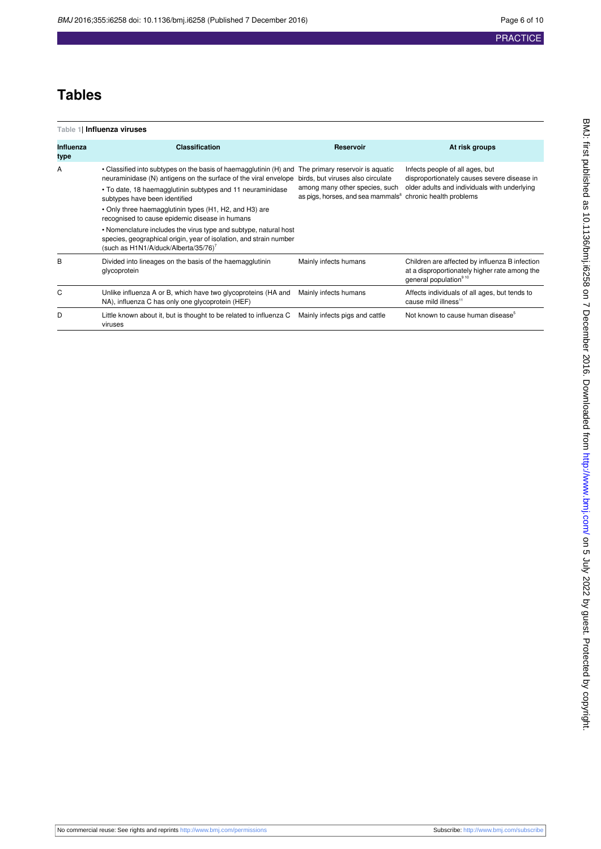# **Tables**

<span id="page-5-0"></span>

| Table 1  Influenza viruses |                                                                                                                                                                                                                                                                                                                                                                                                                                                                                                                            |                                                                                                                                              |                                                                                                                                      |  |  |  |  |  |
|----------------------------|----------------------------------------------------------------------------------------------------------------------------------------------------------------------------------------------------------------------------------------------------------------------------------------------------------------------------------------------------------------------------------------------------------------------------------------------------------------------------------------------------------------------------|----------------------------------------------------------------------------------------------------------------------------------------------|--------------------------------------------------------------------------------------------------------------------------------------|--|--|--|--|--|
| <b>Influenza</b><br>type   | <b>Classification</b>                                                                                                                                                                                                                                                                                                                                                                                                                                                                                                      | Reservoir                                                                                                                                    | At risk groups                                                                                                                       |  |  |  |  |  |
| A                          | • Classified into subtypes on the basis of haemagglutinin (H) and The primary reservoir is aquatic<br>neuraminidase (N) antigens on the surface of the viral envelope<br>• To date, 18 haemagglutinin subtypes and 11 neuraminidase<br>subtypes have been identified<br>• Only three haemagglutinin types (H1, H2, and H3) are<br>recognised to cause epidemic disease in humans<br>• Nomenclature includes the virus type and subtype, natural host<br>species, geographical origin, year of isolation, and strain number | birds, but viruses also circulate<br>among many other species, such<br>as pigs, horses, and sea mammals <sup>8</sup> chronic health problems | Infects people of all ages, but<br>disproportionately causes severe disease in<br>older adults and individuals with underlying       |  |  |  |  |  |
|                            | (such as H1N1/A/duck/Alberta/35/76) <sup>7</sup>                                                                                                                                                                                                                                                                                                                                                                                                                                                                           |                                                                                                                                              |                                                                                                                                      |  |  |  |  |  |
| B                          | Divided into lineages on the basis of the haemagglutinin<br>glycoprotein                                                                                                                                                                                                                                                                                                                                                                                                                                                   | Mainly infects humans                                                                                                                        | Children are affected by influenza B infection<br>at a disproportionately higher rate among the<br>general population <sup>910</sup> |  |  |  |  |  |
| C                          | Unlike influenza A or B, which have two glycoproteins (HA and<br>NA), influenza C has only one glycoprotein (HEF)                                                                                                                                                                                                                                                                                                                                                                                                          | Mainly infects humans                                                                                                                        | Affects individuals of all ages, but tends to<br>cause mild illness <sup>11</sup>                                                    |  |  |  |  |  |
| D                          | Little known about it, but is thought to be related to influenza C<br>viruses                                                                                                                                                                                                                                                                                                                                                                                                                                              | Mainly infects pigs and cattle                                                                                                               | Not known to cause human disease <sup>5</sup>                                                                                        |  |  |  |  |  |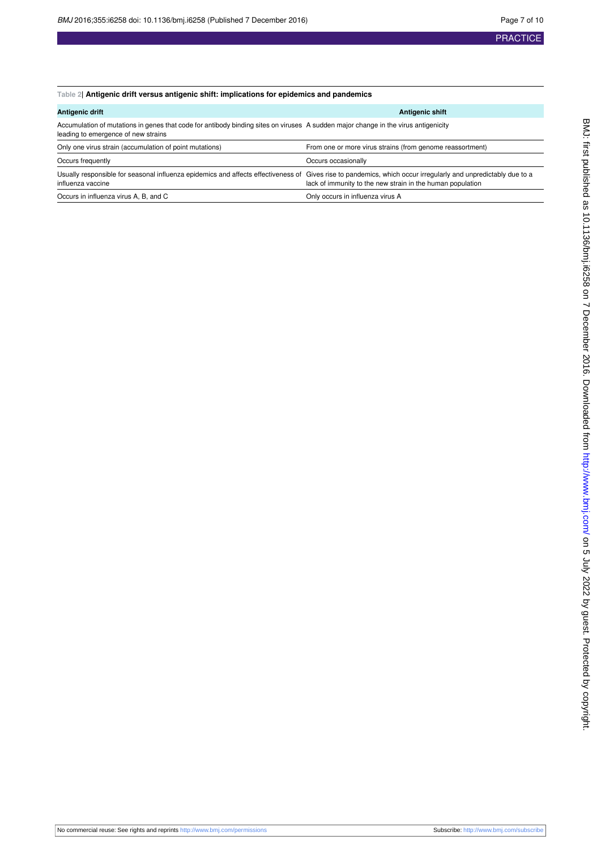## <span id="page-6-0"></span>**Table 2| Antigenic drift versus antigenic shift: implications for epidemics and pandemics**

| Antigenic drift                                                                                                                                                                    | <b>Antigenic shift</b>                                     |  |  |
|------------------------------------------------------------------------------------------------------------------------------------------------------------------------------------|------------------------------------------------------------|--|--|
| Accumulation of mutations in genes that code for antibody binding sites on viruses A sudden major change in the virus antigenicity<br>leading to emergence of new strains          |                                                            |  |  |
| Only one virus strain (accumulation of point mutations)                                                                                                                            | From one or more virus strains (from genome reassortment)  |  |  |
| Occurs frequently                                                                                                                                                                  | Occurs occasionally                                        |  |  |
| Usually responsible for seasonal influenza epidemics and affects effectiveness of Gives rise to pandemics, which occur irregularly and unpredictably due to a<br>influenza vaccine | lack of immunity to the new strain in the human population |  |  |
| Occurs in influenza virus A, B, and C                                                                                                                                              | Only occurs in influenza virus A                           |  |  |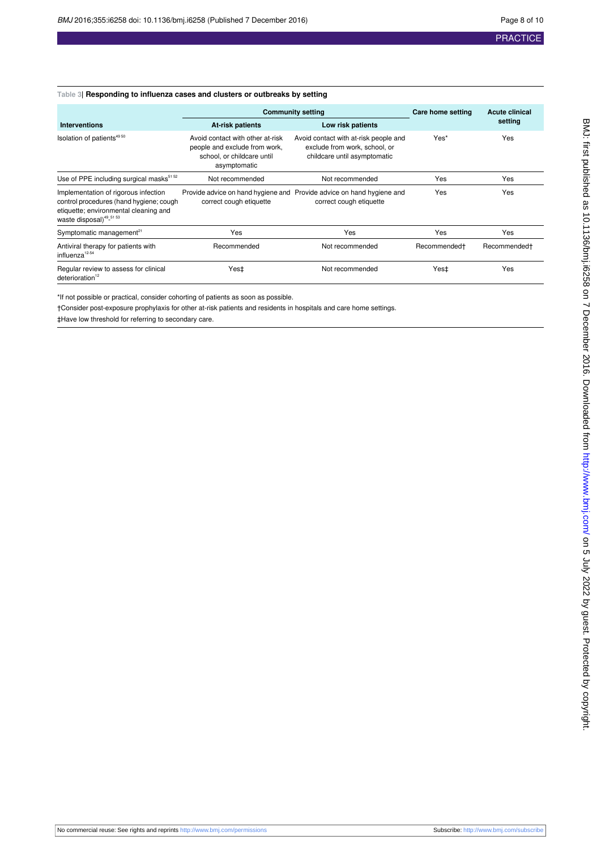## <span id="page-7-0"></span>**Table 3| Responding to influenza cases and clusters or outbreaks by setting**

|                                                                                                                                                                 | <b>Community setting</b>                                                                                        |                                                                                                        | Care home setting        | <b>Acute clinical</b>    |
|-----------------------------------------------------------------------------------------------------------------------------------------------------------------|-----------------------------------------------------------------------------------------------------------------|--------------------------------------------------------------------------------------------------------|--------------------------|--------------------------|
| <b>Interventions</b>                                                                                                                                            | <b>At-risk patients</b>                                                                                         | Low risk patients                                                                                      |                          | setting                  |
| Isolation of patients <sup>49 50</sup>                                                                                                                          | Avoid contact with other at-risk<br>people and exclude from work,<br>school, or childcare until<br>asymptomatic | Avoid contact with at-risk people and<br>exclude from work, school, or<br>childcare until asymptomatic | Yes*                     | Yes                      |
| Use of PPE including surgical masks <sup>51 52</sup>                                                                                                            | Not recommended                                                                                                 | Not recommended                                                                                        | Yes                      | Yes                      |
| Implementation of rigorous infection<br>control procedures (hand hygiene; cough<br>etiquette; environmental cleaning and<br>waste disposal) <sup>49_51</sup> 53 | correct cough etiquette                                                                                         | Provide advice on hand hygiene and Provide advice on hand hygiene and<br>correct cough etiquette       | Yes                      | Yes                      |
| Symptomatic management <sup>21</sup>                                                                                                                            | Yes                                                                                                             | Yes                                                                                                    | Yes                      | Yes                      |
| Antiviral therapy for patients with<br>influenza <sup>12-54</sup>                                                                                               | Recommended                                                                                                     | Not recommended                                                                                        | Recommended <sup>+</sup> | Recommended <sup>+</sup> |
| Regular review to assess for clinical<br>deterioration <sup>12</sup>                                                                                            | Yes‡                                                                                                            | Not recommended                                                                                        | Yes‡                     | Yes                      |

\*If not possible or practical, consider cohorting of patients as soon as possible.

†Consider post-exposure prophylaxis for other at-risk patients and residents in hospitals and care home settings.

‡Have low threshold for referring to secondary care.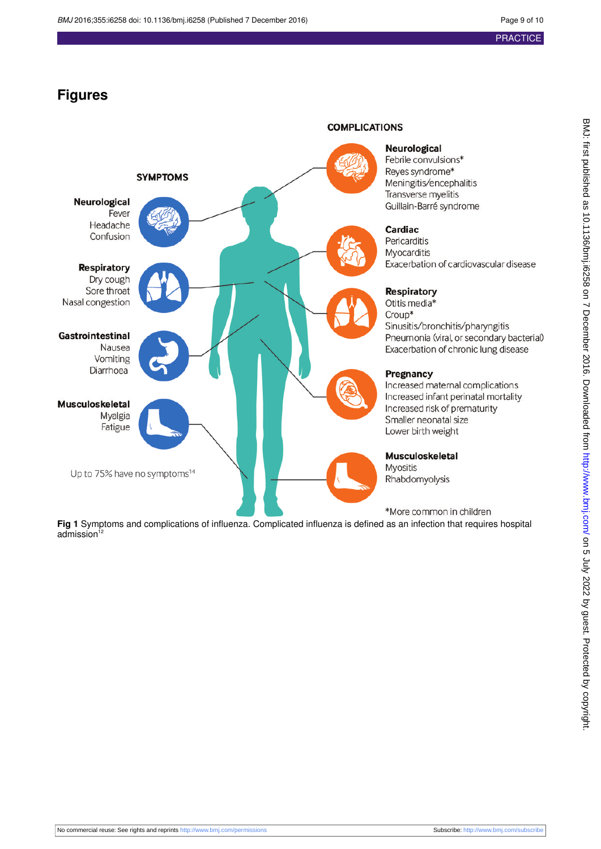# **Figures**

<span id="page-8-0"></span>

**Fig 1** Symptoms and complications of influenza. Complicated influenza is defined as an infection that requires hospital  $admission<sup>12</sup>$